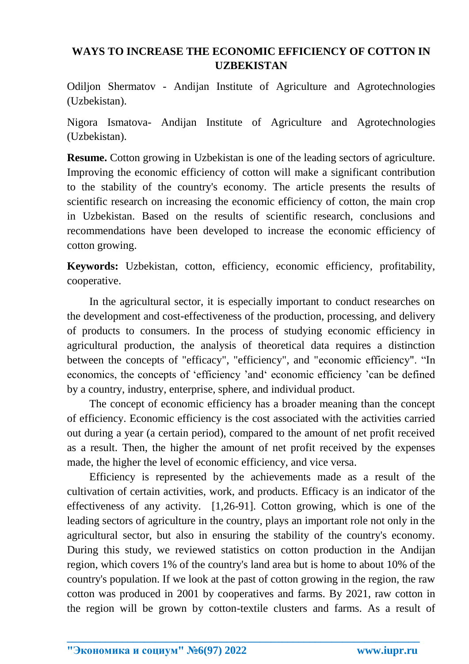## **WAYS TO INCREASE THE ECONOMIC EFFICIENCY OF COTTON IN UZBEKISTAN**

Odiljon Shermatov - Andijan Institute of Agriculture and Agrotechnologies (Uzbekistan).

Nigora Ismatova- Andijan Institute of Agriculture and Agrotechnologies (Uzbekistan).

**Resume.** Cotton growing in Uzbekistan is one of the leading sectors of agriculture. Improving the economic efficiency of cotton will make a significant contribution to the stability of the country's economy. The article presents the results of scientific research on increasing the economic efficiency of cotton, the main crop in Uzbekistan. Based on the results of scientific research, conclusions and recommendations have been developed to increase the economic efficiency of cotton growing.

**Keywords:** Uzbekistan, cotton, efficiency, economic efficiency, profitability, cooperative.

In the agricultural sector, it is especially important to conduct researches on the development and cost-effectiveness of the production, processing, and delivery of products to consumers. In the process of studying economic efficiency in agricultural production, the analysis of theoretical data requires a distinction between the concepts of "efficacy", "efficiency", and "economic efficiency". "In economics, the concepts of 'efficiency 'and' economic efficiency 'can be defined by a country, industry, enterprise, sphere, and individual product.

The concept of economic efficiency has a broader meaning than the concept of efficiency. Economic efficiency is the cost associated with the activities carried out during a year (a certain period), compared to the amount of net profit received as a result. Then, the higher the amount of net profit received by the expenses made, the higher the level of economic efficiency, and vice versa.

Efficiency is represented by the achievements made as a result of the cultivation of certain activities, work, and products. Efficacy is an indicator of the effectiveness of any activity. [1,26-91]. Cotton growing, which is one of the leading sectors of agriculture in the country, plays an important role not only in the agricultural sector, but also in ensuring the stability of the country's economy. During this study, we reviewed statistics on cotton production in the Andijan region, which covers 1% of the country's land area but is home to about 10% of the country's population. If we look at the past of cotton growing in the region, the raw cotton was produced in 2001 by cooperatives and farms. By 2021, raw cotton in the region will be grown by cotton-textile clusters and farms. As a result of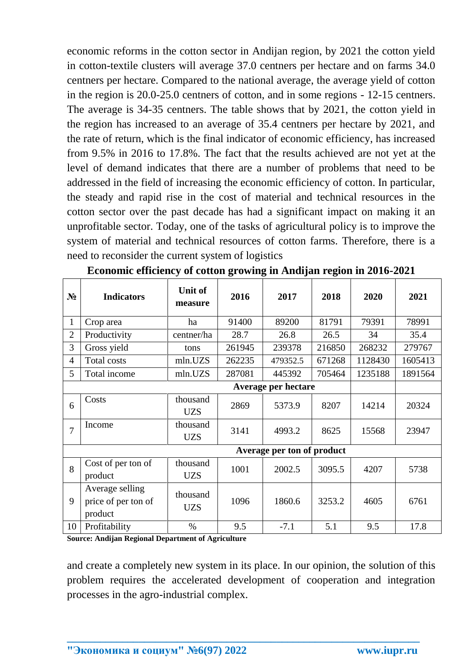economic reforms in the cotton sector in Andijan region, by 2021 the cotton yield in cotton-textile clusters will average 37.0 centners per hectare and on farms 34.0 centners per hectare. Compared to the national average, the average yield of cotton in the region is 20.0-25.0 centners of cotton, and in some regions - 12-15 centners. The average is 34-35 centners. The table shows that by 2021, the cotton yield in the region has increased to an average of 35.4 centners per hectare by 2021, and the rate of return, which is the final indicator of economic efficiency, has increased from 9.5% in 2016 to 17.8%. The fact that the results achieved are not yet at the level of demand indicates that there are a number of problems that need to be addressed in the field of increasing the economic efficiency of cotton. In particular, the steady and rapid rise in the cost of material and technical resources in the cotton sector over the past decade has had a significant impact on making it an unprofitable sector. Today, one of the tasks of agricultural policy is to improve the system of material and technical resources of cotton farms. Therefore, there is a need to reconsider the current system of logistics

| $N_2$          | <b>Indicators</b>                                 | Unit of<br>measure     | 2016   | 2017     | 2018   | 2020    | 2021    |  |  |
|----------------|---------------------------------------------------|------------------------|--------|----------|--------|---------|---------|--|--|
| $\mathbf{1}$   | Crop area                                         | ha                     | 91400  | 89200    | 81791  | 79391   | 78991   |  |  |
| $\overline{2}$ | Productivity                                      | centner/ha             | 28.7   | 26.8     | 26.5   | 34      | 35.4    |  |  |
| 3              | Gross yield                                       | tons                   | 261945 | 239378   | 216850 | 268232  | 279767  |  |  |
| 4              | Total costs                                       | mln.UZS                | 262235 | 479352.5 | 671268 | 1128430 | 1605413 |  |  |
| 5              | Total income                                      | mln.UZS                | 287081 | 445392   | 705464 | 1235188 | 1891564 |  |  |
|                |                                                   |                        |        |          |        |         |         |  |  |
| 6              | Costs                                             | thousand<br><b>UZS</b> | 2869   | 5373.9   | 8207   | 14214   | 20324   |  |  |
| 7              | Income                                            | thousand<br><b>UZS</b> | 3141   | 4993.2   | 8625   | 15568   | 23947   |  |  |
|                | Average per ton of product                        |                        |        |          |        |         |         |  |  |
| 8              | Cost of per ton of<br>product                     | thousand<br><b>UZS</b> | 1001   | 2002.5   | 3095.5 | 4207    | 5738    |  |  |
| 9              | Average selling<br>price of per ton of<br>product | thousand<br><b>UZS</b> | 1096   | 1860.6   | 3253.2 | 4605    | 6761    |  |  |
| 10             | Profitability                                     | $\%$                   | 9.5    | $-7.1$   | 5.1    | 9.5     | 17.8    |  |  |

|  |  |  | Economic efficiency of cotton growing in Andijan region in 2016-2021 |
|--|--|--|----------------------------------------------------------------------|
|  |  |  |                                                                      |

**Source: Andijan Regional Department of Agriculture**

and create a completely new system in its place. In our opinion, the solution of this problem requires the accelerated development of cooperation and integration processes in the agro-industrial complex.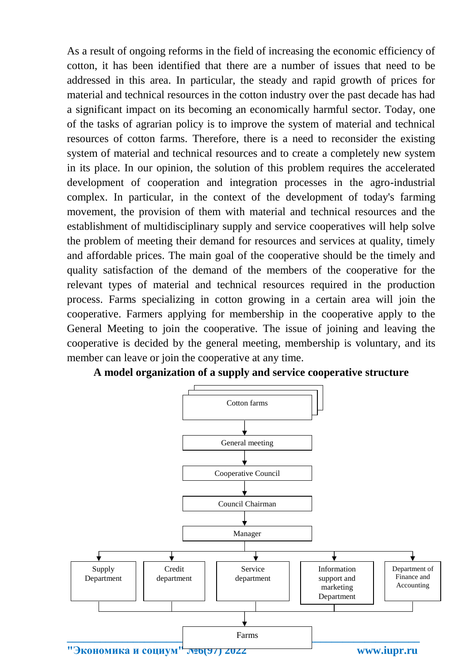As a result of ongoing reforms in the field of increasing the economic efficiency of cotton, it has been identified that there are a number of issues that need to be addressed in this area. In particular, the steady and rapid growth of prices for material and technical resources in the cotton industry over the past decade has had a significant impact on its becoming an economically harmful sector. Today, one of the tasks of agrarian policy is to improve the system of material and technical resources of cotton farms. Therefore, there is a need to reconsider the existing system of material and technical resources and to create a completely new system in its place. In our opinion, the solution of this problem requires the accelerated development of cooperation and integration processes in the agro-industrial complex. In particular, in the context of the development of today's farming movement, the provision of them with material and technical resources and the establishment of multidisciplinary supply and service cooperatives will help solve the problem of meeting their demand for resources and services at quality, timely and affordable prices. The main goal of the cooperative should be the timely and quality satisfaction of the demand of the members of the cooperative for the relevant types of material and technical resources required in the production process. Farms specializing in cotton growing in a certain area will join the cooperative. Farmers applying for membership in the cooperative apply to the General Meeting to join the cooperative. The issue of joining and leaving the cooperative is decided by the general meeting, membership is voluntary, and its member can leave or join the cooperative at any time.



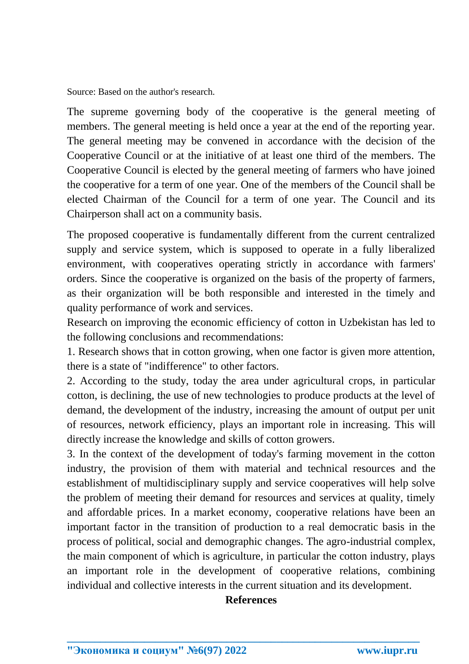Source: Based on the author's research.

The supreme governing body of the cooperative is the general meeting of members. The general meeting is held once a year at the end of the reporting year. The general meeting may be convened in accordance with the decision of the Cooperative Council or at the initiative of at least one third of the members. The Cooperative Council is elected by the general meeting of farmers who have joined the cooperative for a term of one year. One of the members of the Council shall be elected Chairman of the Council for a term of one year. The Council and its Chairperson shall act on a community basis.

The proposed cooperative is fundamentally different from the current centralized supply and service system, which is supposed to operate in a fully liberalized environment, with cooperatives operating strictly in accordance with farmers' orders. Since the cooperative is organized on the basis of the property of farmers, as their organization will be both responsible and interested in the timely and quality performance of work and services.

Research on improving the economic efficiency of cotton in Uzbekistan has led to the following conclusions and recommendations:

1. Research shows that in cotton growing, when one factor is given more attention, there is a state of "indifference" to other factors.

2. According to the study, today the area under agricultural crops, in particular cotton, is declining, the use of new technologies to produce products at the level of demand, the development of the industry, increasing the amount of output per unit of resources, network efficiency, plays an important role in increasing. This will directly increase the knowledge and skills of cotton growers.

3. In the context of the development of today's farming movement in the cotton industry, the provision of them with material and technical resources and the establishment of multidisciplinary supply and service cooperatives will help solve the problem of meeting their demand for resources and services at quality, timely and affordable prices. In a market economy, cooperative relations have been an important factor in the transition of production to a real democratic basis in the process of political, social and demographic changes. The agro-industrial complex, the main component of which is agriculture, in particular the cotton industry, plays an important role in the development of cooperative relations, combining individual and collective interests in the current situation and its development.

## **References**